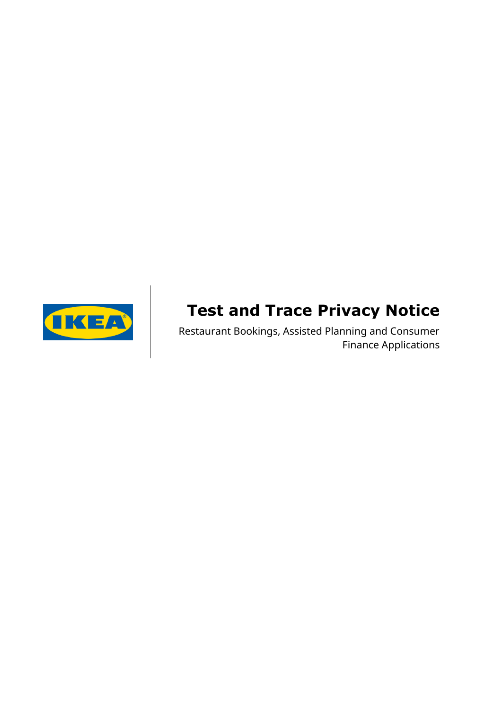

# **Test and Trace Privacy Notice**

Restaurant Bookings, Assisted Planning and Consumer Finance Applications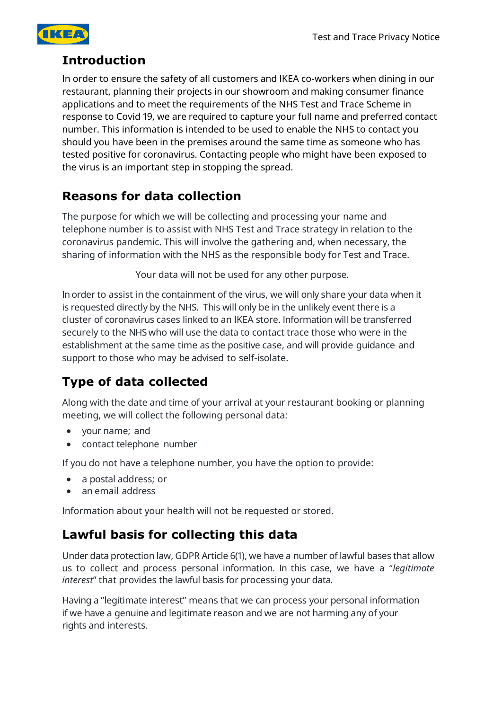

#### **Introduction**

In order to ensure the safety of all customers and IKEA co-workers when dining in our restaurant, planning their projects in our showroom and making consumer finance applications and to meet the requirements of the NHS Test and Trace Scheme in response to Covid 19, we are required to capture your full name and preferred contact number. This information is intended to be used to enable the NHS to contact you should you have been in the premises around the same time as someone who has tested positive for coronavirus. Contacting people who might have been exposed to the virus is an important step in stopping the spread.

#### **Reasons for data collection**

The purpose for which we will be collecting and processing your name and telephone number is to assist with NHS Test and Trace strategy in relation to the coronavirus pandemic. This will involve the gathering and, when necessary, the sharing of information with the NHS as the responsible body for Test and Trace.

Your data will not be used for any other purpose.

In order to assist in the containment of the virus, we will only share your data when it is requested directly by the NHS. This will only be in the unlikely event there is a cluster of coronavirus cases linked to an IKEA store. Information will be transferred securely to the NHS who will use the data to contact trace those who were in the establishment at the same time as the positive case, and will provide guidance and support to those who may be advised to self-isolate.

# **Type of data collected**

Along with the date and time of your arrival at your restaurant booking or planning meeting, we will collect the following personal data:

- your name; and
- contact telephone number

If you do not have a telephone number, you have the option to provide:

- a postal address; or
- an email address

Information about your health will not be requested or stored.

#### **Lawful basis for collecting this data**

Under data protection law, GDPR Article 6(1), we have a number of lawful bases that allow us to collect and process personal information. In this case, we have a "*legitimate interest*" that provides the lawful basis for processing your data*.*

Having a "legitimate interest" means that we can process your personal information if we have a genuine and legitimate reason and we are not harming any of your rights and interests.